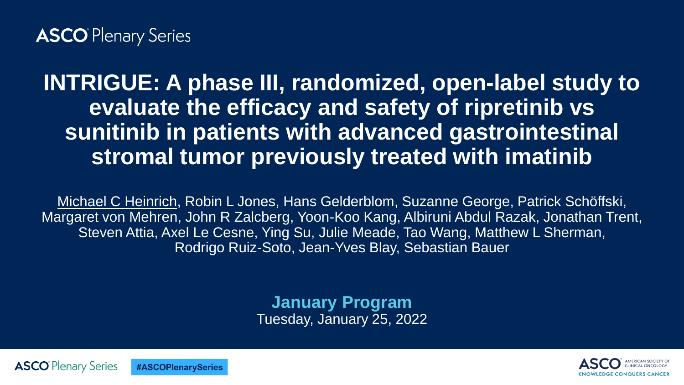#### **ASCO** Plenary Series

#### **INTRIGUE: A phase III, randomized, open-label study to evaluate the efficacy and safety of ripretinib vs sunitinib in patients with advanced gastrointestinal stromal tumor previously treated with imatinib**

Michael C Heinrich, Robin L Jones, Hans Gelderblom, Suzanne George, Patrick Schöffski, Margaret von Mehren, John R Zalcberg, Yoon-Koo Kang, Albiruni Abdul Razak, Jonathan Trent, Steven Attia, Axel Le Cesne, Ying Su, Julie Meade, Tao Wang, Matthew L Sherman, Rodrigo Ruiz-Soto, Jean-Yves Blay, Sebastian Bauer

> **January Program** Tuesday, January 25, 2022



**ASCO** Plenary Series **#ASCOPlenarySeries**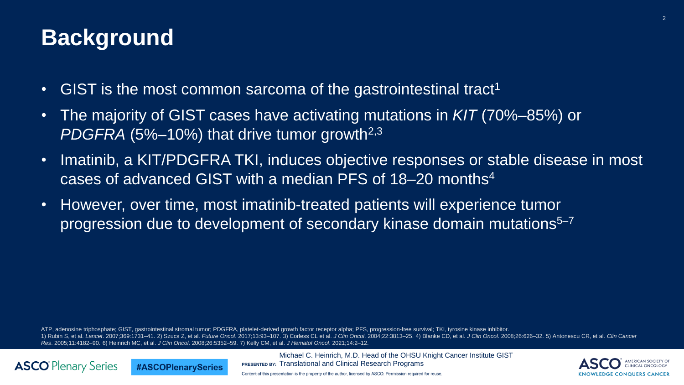#### **Background**

**ASCO** Plenary Series

#ASCOPlenarySeries

- GIST is the most common sarcoma of the gastrointestinal tract<sup>1</sup>
- The majority of GIST cases have activating mutations in *KIT* (70%–85%) or *PDGFRA* (5%–10%) that drive tumor growth2,3
- Imatinib, a KIT/PDGFRA TKI, induces objective responses or stable disease in most cases of advanced GIST with a median PFS of 18–20 months<sup>4</sup>
- However, over time, most imatinib-treated patients will experience tumor progression due to development of secondary kinase domain mutations<sup>5–7</sup>

ATP, adenosine triphosphate; GIST, gastrointestinal stromal tumor; PDGFRA, platelet-derived growth factor receptor alpha; PFS, progression-free survival; TKI, tyrosine kinase inhibitor. 1) Rubin S, et al. Lancet. 2007;369:1731-41. 2) Szucs Z, et al. Future Oncol. 2017;13:93-107. 3) Corless CL et al. J Clin Oncol. 2004;22:3813-25. 4) Blanke CD, et al. J Clin Oncol. 2008;26:626-32. 5) Antonescu CR, et al. C *Res*. 2005;11:4182–90. 6) Heinrich MC, et al. *J Clin Oncol*. 2008;26:5352–59. 7) Kelly CM, et al. *J Hematol Oncol*. 2021;14:2–12.

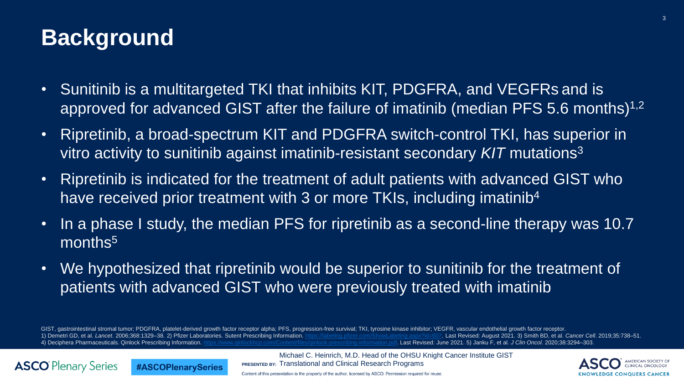#### **Background**

**ASCO** Plenary Series

- Sunitinib is a multitargeted TKI that inhibits KIT, PDGFRA, and VEGFRs and is approved for advanced GIST after the failure of imatinib (median PFS 5.6 months)<sup>1,2</sup>
- Ripretinib, a broad-spectrum KIT and PDGFRA switch-control TKI, has superior in vitro activity to sunitinib against imatinib-resistant secondary *KIT* mutations<sup>3</sup>
- Ripretinib is indicated for the treatment of adult patients with advanced GIST who have received prior treatment with 3 or more TKIs, including imatinib<sup>4</sup>
- In a phase I study, the median PFS for ripretinib as a second-line therapy was 10.7 months<sup>5</sup>
- We hypothesized that ripretinib would be superior to sunitinib for the treatment of patients with advanced GIST who were previously treated with imatinib

GIST, gastrointestinal stromal tumor; PDGFRA, platelet-derived growth factor receptor alpha; PFS, progression-free survival; TKI, tyrosine kinase inhibitor; VEGFR, vascular endothelial growth factor receptor. 1) Demetri GD, et al. Lancet. 2006;368:1329-38. 2) Pfizer Laboratories. Sutent Prescribing Information.<https://labeling.pfizer.com/ShowLabeling.aspx?id=607>. Last Revised: August 2021. 3) Smith BD, et al. Cancer Cell. 2019 4) Deciphera Pharmaceuticals. Qinlock Prescribing Information. <https://www.qinlockhcp.com/Content/files/qinlock-prescribing-information.pdf>. Last Revised: June 2021. 5) Janku F, et al. *J Clin Oncol*. 2020;38:3294–303.

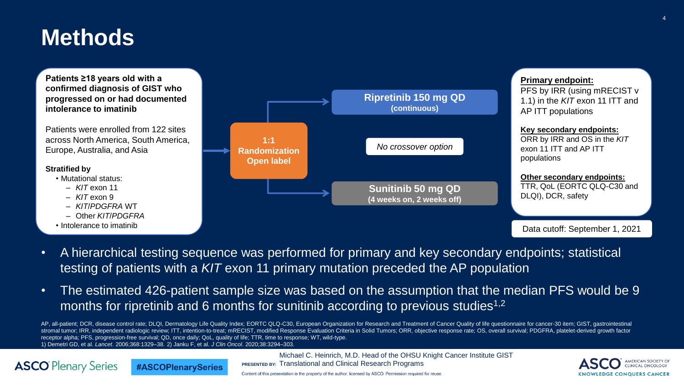#### **Methods**

**Patients ≥18 years old with a confirmed diagnosis of GIST who progressed on or had documented intolerance to imatinib**

Patients were enrolled from 122 sites across North America, South America, Europe, Australia, and Asia

#### **Stratified by**

**ASCO** Plenary Series

- Mutational status:
	- *KIT* exon 11
	- *KIT* exon 9
	- *KIT*/*PDGFRA* WT
	- Other *KIT*/*PDGFRA*

**#ASCOPlenarySeries** 

• Intolerance to imatinib



- A hierarchical testing sequence was performed for primary and key secondary endpoints; statistical testing of patients with a *KIT* exon 11 primary mutation preceded the AP population
- The estimated 426-patient sample size was based on the assumption that the median PFS would be 9 months for ripretinib and 6 months for sunitinib according to previous studies<sup>1,2</sup>

AP, all-patient; DCR, disease control rate; DLQI, Dermatology Life Quality Index; EORTC QLQ-C30, European Organization for Research and Treatment of Cancer Quality of life questionnaire for cancer-30 item; GIST, gastrointe stromal tumor; IRR, independent radiologic review; ITT, intention-to-treat; mRECIST, modified Response Evaluation Criteria in Solid Tumors; ORR, objective response rate; OS, overall survival; PDGFRA, platelet-derived growt receptor alpha; PFS, progression-free survival; QD, once daily; QoL, quality of life; TTR, time to response; WT, wild-type. 1) Demetri GD, et al. *Lancet*. 2006;368:1329–38. 2) Janku F, et al. *J Clin Oncol*. 2020;38:3294–303.

> **PRESENTED BY:** Translational and Clinical Research Programs Michael C. Heinrich, M.D. Head of the OHSU Knight Cancer Institute GIST



Content of this presentation is the property of the author, licensed by ASCO. Permission required for reuse.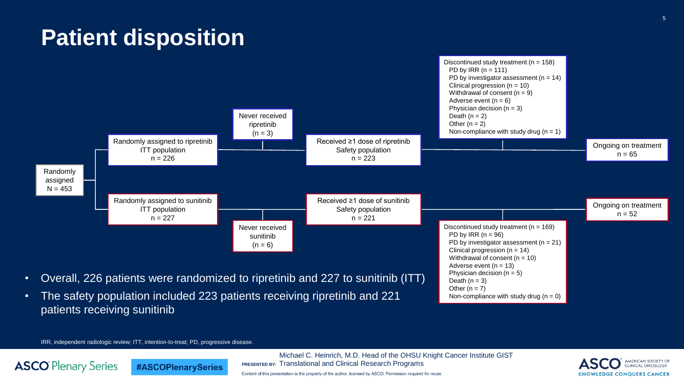#### **Patient disposition**



IRR, independent radiologic review; ITT, intention-to-treat; PD, progressive disease.

**#ASCOPlenarySeries** 

**ASCO** Plenary Series

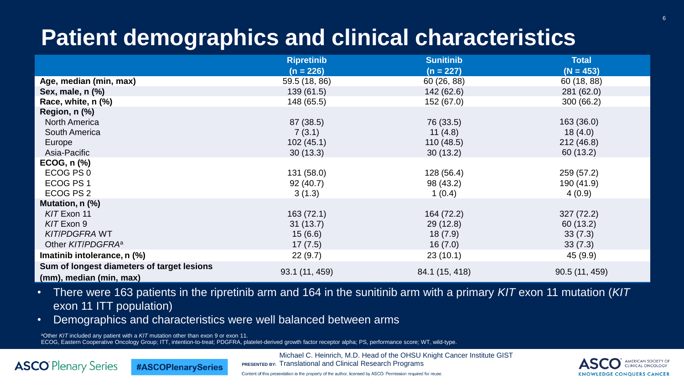## **Patient demographics and clinical characteristics**

|                                            | <b>Ripretinib</b> | <b>Sunitinib</b> | <b>Total</b>   |
|--------------------------------------------|-------------------|------------------|----------------|
|                                            | $(n = 226)$       | $(n = 227)$      | $(N = 453)$    |
| Age, median (min, max)                     | 59.5 (18, 86)     | 60 (26, 88)      | 60 (18, 88)    |
| Sex, male, n (%)                           | 139(61.5)         | 142 (62.6)       | 281 (62.0)     |
| Race, white, n (%)                         | 148 (65.5)        | 152 (67.0)       | 300(66.2)      |
| Region, n (%)                              |                   |                  |                |
| <b>North America</b>                       | 87 (38.5)         | 76 (33.5)        | 163(36.0)      |
| South America                              | 7(3.1)            | 11 $(4.8)$       | 18(4.0)        |
| Europe                                     | 102(45.1)         | 110(48.5)        | 212(46.8)      |
| Asia-Pacific                               | 30(13.3)          | 30(13.2)         | 60 (13.2)      |
| ECOG, n (%)                                |                   |                  |                |
| ECOG PS 0                                  | 131(58.0)         | 128(56.4)        | 259 (57.2)     |
| ECOG PS 1                                  | 92(40.7)          | 98 (43.2)        | 190 (41.9)     |
| ECOG PS 2                                  | 3(1.3)            | 1(0.4)           | 4(0.9)         |
| Mutation, n (%)                            |                   |                  |                |
| KIT Exon 11                                | 163(72.1)         | 164 (72.2)       | 327(72.2)      |
| KIT Exon 9                                 | 31(13.7)          | 29(12.8)         | 60 (13.2)      |
| <b>KIT/PDGFRA WT</b>                       | 15(6.6)           | 18(7.9)          | 33(7.3)        |
| Other KIT/PDGFRA <sup>a</sup>              | 17(7.5)           | 16(7.0)          | 33(7.3)        |
| Imatinib intolerance, n (%)                | 22(9.7)           | 23(10.1)         | 45 (9.9)       |
| Sum of longest diameters of target lesions |                   |                  |                |
| (mm), median (min, max)                    | 93.1 (11, 459)    | 84.1 (15, 418)   | 90.5 (11, 459) |

• There were 163 patients in the ripretinib arm and 164 in the sunitinib arm with a primary *KIT* exon 11 mutation (*KIT* exon 11 ITT population)

• Demographics and characteristics were well balanced between arms

<sup>a</sup>Other *KIT* included any patient with a *KIT* mutation other than exon 9 or exon 11.

**#ASCOPlenarySeries** 

**ASCO** Plenary Series

ECOG, Eastern Cooperative Oncology Group; ITT, intention-to-treat; PDGFRA, platelet-derived growth factor receptor alpha; PS, performance score; WT, wild-type.

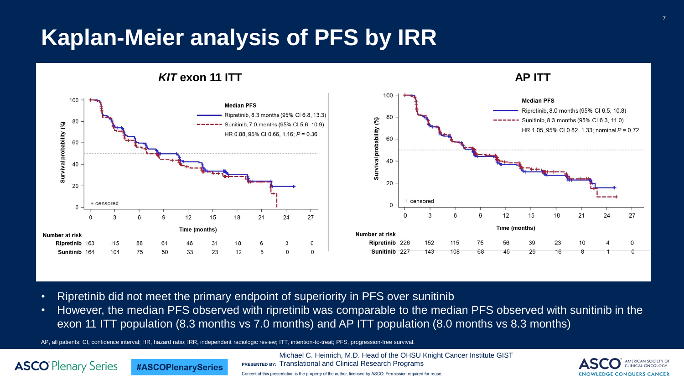#### **Kaplan-Meier analysis of PFS by IRR**

*KIT* **exon 11 ITT AP ITT**





- Ripretinib did not meet the primary endpoint of superiority in PFS over sunitinib
- However, the median PFS observed with ripretinib was comparable to the median PFS observed with sunitinib in the exon 11 ITT population (8.3 months vs 7.0 months) and AP ITT population (8.0 months vs 8.3 months)

AP, all patients; CI, confidence interval; HR, hazard ratio; IRR, independent radiologic review; ITT, intention-to-treat; PFS, progression-free survival.

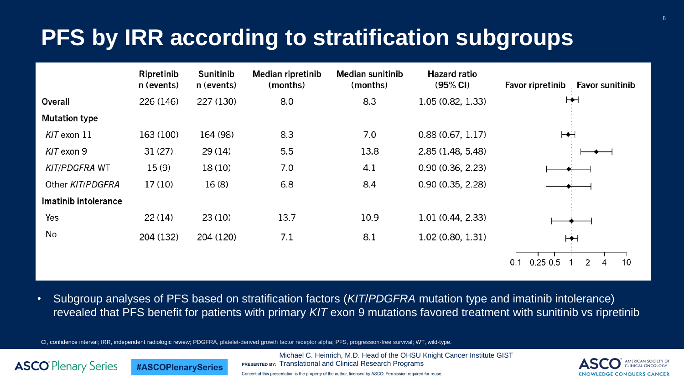#### **PFS by IRR according to stratification subgroups**



• Subgroup analyses of PFS based on stratification factors (*KIT*/*PDGFRA* mutation type and imatinib intolerance) revealed that PFS benefit for patients with primary *KIT* exon 9 mutations favored treatment with sunitinib vs ripretinib

CI, confidence interval; IRR, independent radiologic review; PDGFRA, platelet-derived growth factor receptor alpha; PFS, progression-free survival; WT, wild-type.



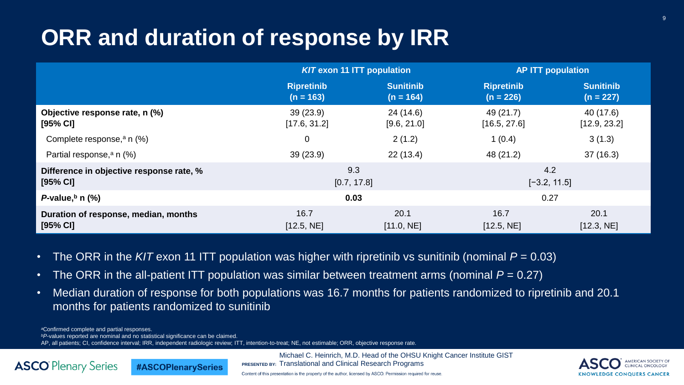#### **ORR and duration of response by IRR**

|                                          | <b>KIT exon 11 ITT population</b> |                  | <b>AP ITT population</b> |                  |
|------------------------------------------|-----------------------------------|------------------|--------------------------|------------------|
|                                          | <b>Ripretinib</b>                 | <b>Sunitinib</b> | <b>Ripretinib</b>        | <b>Sunitinib</b> |
|                                          | $(n = 163)$                       | $(n = 164)$      | $(n = 226)$              | $(n = 227)$      |
| Objective response rate, n (%)           | 39(23.9)                          | 24(14.6)         | 49 (21.7)                | 40 (17.6)        |
| $[95%$ CI]                               | [17.6, 31.2]                      | [9.6, 21.0]      | [16.5, 27.6]             | [12.9, 23.2]     |
| Complete response, $a \nvert (% )$       | 0                                 | 2(1.2)           | 1(0.4)                   | 3(1.3)           |
| Partial response, <sup>a</sup> n (%)     | 39(23.9)                          | 22(13.4)         | 48 (21.2)                | 37(16.3)         |
| Difference in objective response rate, % | 9.3                               |                  | 4.2                      |                  |
| $[95% \text{ Cl}]$                       | [0.7, 17.8]                       |                  | $[-3.2, 11.5]$           |                  |
| P-value, $^{\rm b}$ n (%)                | 0.03                              |                  | 0.27                     |                  |
| Duration of response, median, months     | 16.7                              | 20.1             | 16.7                     | 20.1             |
| $[95%$ CI]                               | [12.5, NE]                        | [11.0, NE]       | [12.5, NE]               | [12.3, NE]       |

- The ORR in the *KIT* exon 11 ITT population was higher with ripretinib vs sunitinib (nominal  $P = 0.03$ )
- The ORR in the all-patient ITT population was similar between treatment arms (nominal  $P = 0.27$ )
- Median duration of response for both populations was 16.7 months for patients randomized to ripretinib and 20.1 months for patients randomized to sunitinib

*<sup>a</sup>*Confirmed complete and partial responses.

**ASCO** Plenary Series

*<sup>b</sup>P-*values reported are nominal and no statistical significance can be claimed.

**#ASCOPlenarySeries** 

AP, all patients; CI, confidence interval; IRR, independent radiologic review; ITT, intention-to-treat; NE, not estimable; ORR, objective response rate.

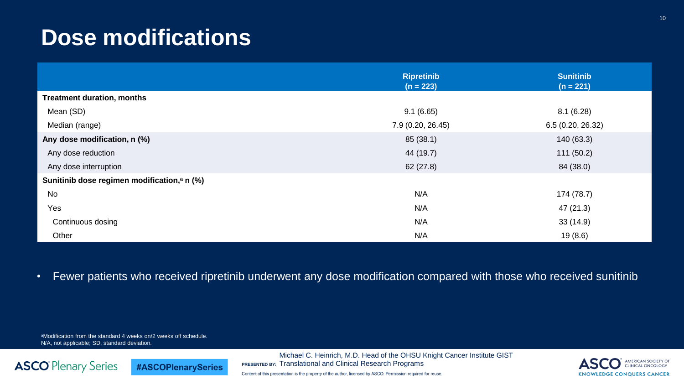#### **Dose modifications**

|                                                         | <b>Ripretinib</b><br>$(n = 223)$ | <b>Sunitinib</b><br>$(n = 221)$ |
|---------------------------------------------------------|----------------------------------|---------------------------------|
| <b>Treatment duration, months</b>                       |                                  |                                 |
| Mean (SD)                                               | 9.1(6.65)                        | 8.1(6.28)                       |
| Median (range)                                          | 7.9 (0.20, 26.45)                | 6.5(0.20, 26.32)                |
| Any dose modification, n (%)                            | 85(38.1)                         | 140 (63.3)                      |
| Any dose reduction                                      | 44 (19.7)                        | 111(50.2)                       |
| Any dose interruption                                   | 62(27.8)                         | 84 (38.0)                       |
| Sunitinib dose regimen modification, <sup>a</sup> n (%) |                                  |                                 |
| <b>No</b>                                               | N/A                              | 174 (78.7)                      |
| Yes                                                     | N/A                              | 47 (21.3)                       |
| Continuous dosing                                       | N/A                              | 33(14.9)                        |
| Other                                                   | N/A                              | 19(8.6)                         |

• Fewer patients who received ripretinib underwent any dose modification compared with those who received sunitinib

aModification from the standard 4 weeks on/2 weeks off schedule. N/A, not applicable; SD, standard deviation.

#ASCOPlenarySeries

**ASCO** Plenary Series

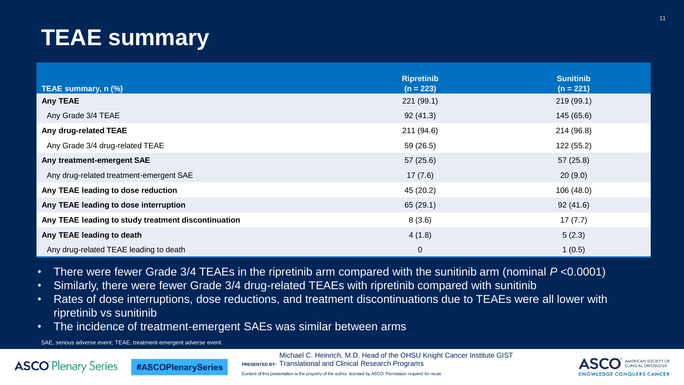## **TEAE summary**

|                                                     | <b>Ripretinib</b> | <b>Sunitinib</b> |
|-----------------------------------------------------|-------------------|------------------|
| TEAE summary, n (%)                                 | $(n = 223)$       | $(n = 221)$      |
| <b>Any TEAE</b>                                     | 221(99.1)         | 219(99.1)        |
| Any Grade 3/4 TEAE                                  | 92(41.3)          | 145 (65.6)       |
| Any drug-related TEAE                               | 211 (94.6)        | 214 (96.8)       |
| Any Grade 3/4 drug-related TEAE                     | 59(26.5)          | 122 (55.2)       |
| Any treatment-emergent SAE                          | 57(25.6)          | 57(25.8)         |
| Any drug-related treatment-emergent SAE             | 17(7.6)           | 20(9.0)          |
| Any TEAE leading to dose reduction                  | 45 (20.2)         | 106(48.0)        |
| Any TEAE leading to dose interruption               | 65(29.1)          | 92(41.6)         |
| Any TEAE leading to study treatment discontinuation | 8(3.6)            | 17(7.7)          |
| Any TEAE leading to death                           | 4(1.8)            | 5(2.3)           |
| Any drug-related TEAE leading to death              | $\overline{0}$    | 1(0.5)           |

- There were fewer Grade 3/4 TEAEs in the ripretinib arm compared with the sunitinib arm (nominal *P* <0.0001)
- Similarly, there were fewer Grade 3/4 drug-related TEAEs with ripretinib compared with sunitinib
- Rates of dose interruptions, dose reductions, and treatment discontinuations due to TEAEs were all lower with ripretinib vs sunitinib
- The incidence of treatment-emergent SAEs was similar between arms

SAE, serious adverse event; TEAE, treatment-emergent adverse event.

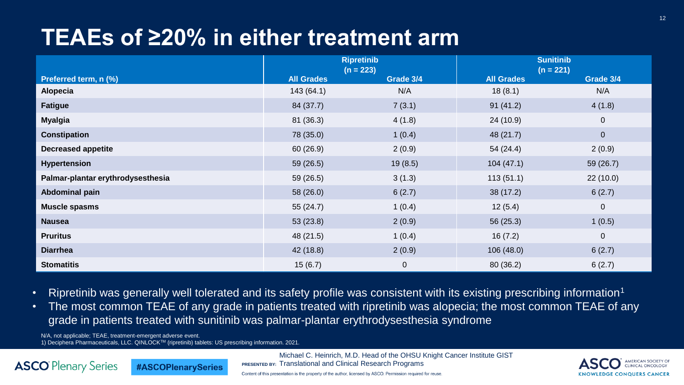#### **TEAEs of ≥20% in either treatment arm**

|                                   | <b>Ripretinib</b><br>$(n = 223)$ |                | <b>Sunitinib</b><br>$(n = 221)$ |                |
|-----------------------------------|----------------------------------|----------------|---------------------------------|----------------|
| Preferred term, n (%)             | <b>All Grades</b>                | Grade 3/4      | <b>All Grades</b>               | Grade 3/4      |
| Alopecia                          | 143(64.1)                        | N/A            | 18(8.1)                         | N/A            |
| <b>Fatigue</b>                    | 84 (37.7)                        | 7(3.1)         | 91(41.2)                        | 4(1.8)         |
| <b>Myalgia</b>                    | 81 (36.3)                        | 4(1.8)         | 24(10.9)                        | $\mathbf 0$    |
| <b>Constipation</b>               | 78 (35.0)                        | 1(0.4)         | 48 (21.7)                       | $\overline{0}$ |
| <b>Decreased appetite</b>         | 60(26.9)                         | 2(0.9)         | 54(24.4)                        | 2(0.9)         |
| <b>Hypertension</b>               | 59(26.5)                         | 19(8.5)        | 104(47.1)                       | 59 (26.7)      |
| Palmar-plantar erythrodysesthesia | 59 (26.5)                        | 3(1.3)         | 113(51.1)                       | 22(10.0)       |
| Abdominal pain                    | 58 (26.0)                        | 6(2.7)         | 38(17.2)                        | 6(2.7)         |
| <b>Muscle spasms</b>              | 55(24.7)                         | 1(0.4)         | 12(5.4)                         | $\mathbf{0}$   |
| <b>Nausea</b>                     | 53(23.8)                         | 2(0.9)         | 56(25.3)                        | 1(0.5)         |
| <b>Pruritus</b>                   | 48 (21.5)                        | 1(0.4)         | 16(7.2)                         | $\mathbf 0$    |
| <b>Diarrhea</b>                   | 42 (18.8)                        | 2(0.9)         | 106(48.0)                       | 6(2.7)         |
| <b>Stomatitis</b>                 | 15(6.7)                          | $\overline{0}$ | 80(36.2)                        | 6(2.7)         |

- Ripretinib was generally well tolerated and its safety profile was consistent with its existing prescribing information<sup>1</sup>
- The most common TEAE of any grade in patients treated with ripretinib was alopecia; the most common TEAE of any grade in patients treated with sunitinib was palmar-plantar erythrodysesthesia syndrome

N/A, not applicable; TEAE, treatment-emergent adverse event. 1) Deciphera Pharmaceuticals, LLC. QINLOCK<sup>TM</sup> (ripretinib) tablets: US prescribing information. 2021.

**ASCO** Plenary Series

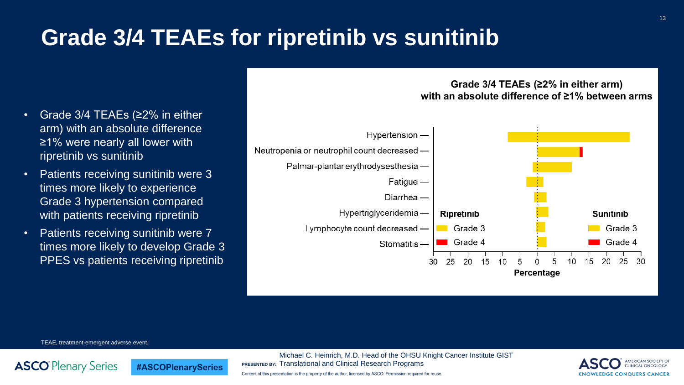### **Grade 3/4 TEAEs for ripretinib vs sunitinib**

- Grade 3/4 TEAEs (≥2% in either arm) with an absolute difference ≥1% were nearly all lower with ripretinib vs sunitinib
- Patients receiving sunitinib were 3 times more likely to experience Grade 3 hypertension compared with patients receiving ripretinib
- Patients receiving sunitinib were 7 times more likely to develop Grade 3 PPES vs patients receiving ripretinib

**#ASCOPlenarySeries** 



#### **Grade 3/4 TEAEs (≥2% in either arm) with an absolute difference of ≥1% between arms**

TEAE, treatment-emergent adverse event.

**ASCO** Plenary Series

Michael C. Heinrich, M.D. Head of the OHSU Knight Cancer Institute GIST **PRESENTED BY:** Translational and Clinical Research Programs Content of this presentation is the property of the author, licensed by ASCO. Permission required for reuse.



#### 13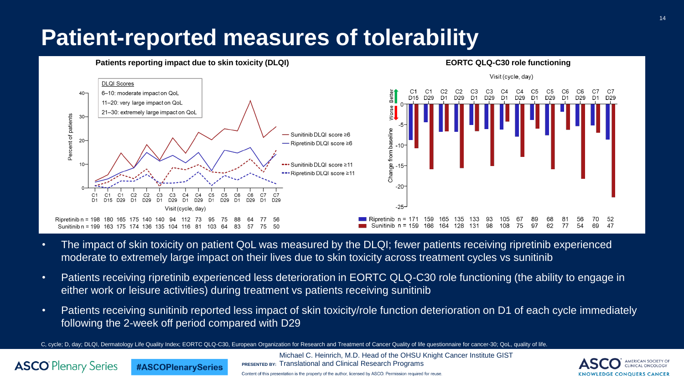#### **Patient-reported measures of tolerability**



**#ASCOPlenarySeries** 

**ASCO** Plenary Series

- The impact of skin toxicity on patient QoL was measured by the DLQI; fewer patients receiving ripretinib experienced moderate to extremely large impact on their lives due to skin toxicity across treatment cycles vs sunitinib
- Patients receiving ripretinib experienced less deterioration in EORTC QLQ-C30 role functioning (the ability to engage in either work or leisure activities) during treatment vs patients receiving sunitinib
- Patients receiving sunitinib reported less impact of skin toxicity/role function deterioration on D1 of each cycle immediately following the 2-week off period compared with D29

Michael C. Heinrich, M.D. Head of the OHSU Knight Cancer Institute GIST

C, cycle; D, day; DLQI, Dermatology Life Quality Index; EORTC QLQ-C30, European Organization for Research and Treatment of Cancer Quality of life questionnaire for cancer-30; QoL, quality of life.



14

**PRESENTED BY:** Translational and Clinical Research Programs Content of this presentation is the property of the author, licensed by ASCO. Permission required for reuse.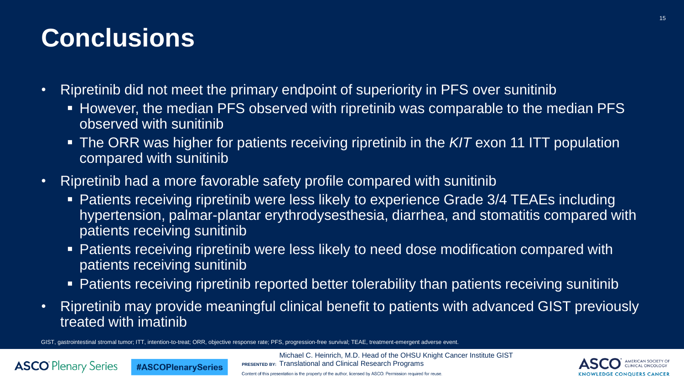## **Conclusions**

**ASCO** Plenary Series

- Ripretinib did not meet the primary endpoint of superiority in PFS over sunitinib
	- However, the median PFS observed with ripretinib was comparable to the median PFS observed with sunitinib
	- The ORR was higher for patients receiving ripretinib in the *KIT* exon 11 ITT population compared with sunitinib
- Ripretinib had a more favorable safety profile compared with sunitinib
	- Patients receiving ripretinib were less likely to experience Grade 3/4 TEAEs including hypertension, palmar-plantar erythrodysesthesia, diarrhea, and stomatitis compared with patients receiving sunitinib
	- Patients receiving ripretinib were less likely to need dose modification compared with patients receiving sunitinib
	- **Patients receiving ripretinib reported better tolerability than patients receiving sunitinib**
- Ripretinib may provide meaningful clinical benefit to patients with advanced GIST previously treated with imatinib

GIST, gastrointestinal stromal tumor; ITT, intention-to-treat; ORR, objective response rate; PFS, progression-free survival; TEAE, treatment-emergent adverse event.

**#ASCOPlenarySeries** 

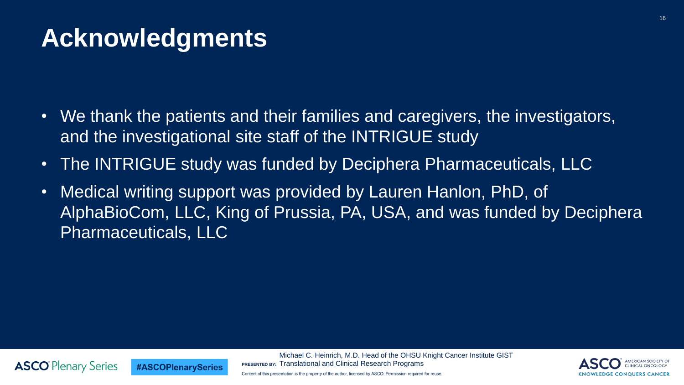## **Acknowledgments**

**#ASCOPlenarySeries** 

**ASCO** Plenary Series

- We thank the patients and their families and caregivers, the investigators, and the investigational site staff of the INTRIGUE study
- The INTRIGUE study was funded by Deciphera Pharmaceuticals, LLC
- Medical writing support was provided by Lauren Hanlon, PhD, of AlphaBioCom, LLC, King of Prussia, PA, USA, and was funded by Deciphera Pharmaceuticals, LLC



16